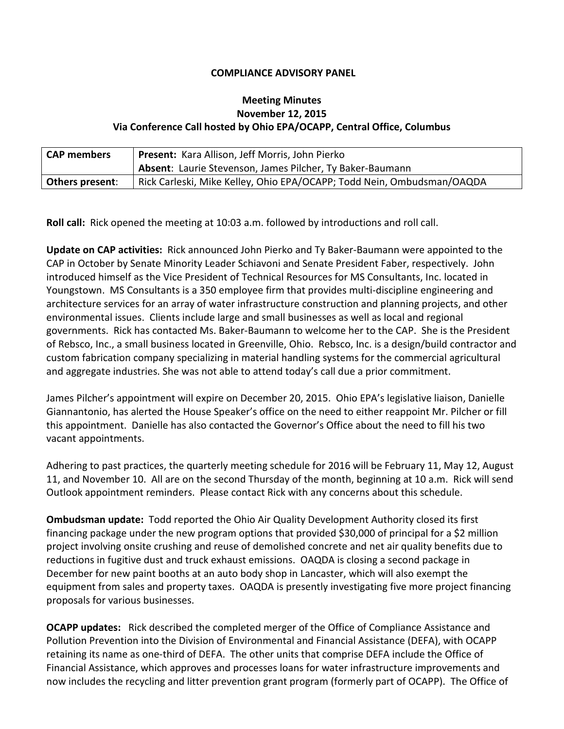## **COMPLIANCE ADVISORY PANEL**

## **Meeting Minutes November 12, 2015 Via Conference Call hosted by Ohio EPA/OCAPP, Central Office, Columbus**

| <b>CAP members</b>     | <b>Present:</b> Kara Allison, Jeff Morris, John Pierko                 |
|------------------------|------------------------------------------------------------------------|
|                        | Absent: Laurie Stevenson, James Pilcher, Ty Baker-Baumann              |
| <b>Others present:</b> | Rick Carleski, Mike Kelley, Ohio EPA/OCAPP; Todd Nein, Ombudsman/OAQDA |

**Roll call:** Rick opened the meeting at 10:03 a.m. followed by introductions and roll call.

**Update on CAP activities:** Rick announced John Pierko and Ty Baker-Baumann were appointed to the CAP in October by Senate Minority Leader Schiavoni and Senate President Faber, respectively. John introduced himself as the Vice President of Technical Resources for MS Consultants, Inc. located in Youngstown. MS Consultants is a 350 employee firm that provides multi-discipline engineering and architecture services for an array of water infrastructure construction and planning projects, and other environmental issues. Clients include large and small businesses as well as local and regional governments. Rick has contacted Ms. Baker-Baumann to welcome her to the CAP. She is the President of Rebsco, Inc., a small business located in Greenville, Ohio. Rebsco, Inc. is a design/build contractor and custom fabrication company specializing in material handling systems for the commercial agricultural and aggregate industries. She was not able to attend today's call due a prior commitment.

James Pilcher's appointment will expire on December 20, 2015. Ohio EPA's legislative liaison, Danielle Giannantonio, has alerted the House Speaker's office on the need to either reappoint Mr. Pilcher or fill this appointment. Danielle has also contacted the Governor's Office about the need to fill his two vacant appointments.

Adhering to past practices, the quarterly meeting schedule for 2016 will be February 11, May 12, August 11, and November 10. All are on the second Thursday of the month, beginning at 10 a.m. Rick will send Outlook appointment reminders. Please contact Rick with any concerns about this schedule.

**Ombudsman update:**Todd reported the Ohio Air Quality Development Authority closed its first financing package under the new program options that provided \$30,000 of principal for a \$2 million project involving onsite crushing and reuse of demolished concrete and net air quality benefits due to reductions in fugitive dust and truck exhaust emissions. OAQDA is closing a second package in December for new paint booths at an auto body shop in Lancaster, which will also exempt the equipment from sales and property taxes. OAQDA is presently investigating five more project financing proposals for various businesses.

**OCAPP updates:** Rick described the completed merger of the Office of Compliance Assistance and Pollution Prevention into the Division of Environmental and Financial Assistance (DEFA), with OCAPP retaining its name as one-third of DEFA. The other units that comprise DEFA include the Office of Financial Assistance, which approves and processes loans for water infrastructure improvements and now includes the recycling and litter prevention grant program (formerly part of OCAPP). The Office of